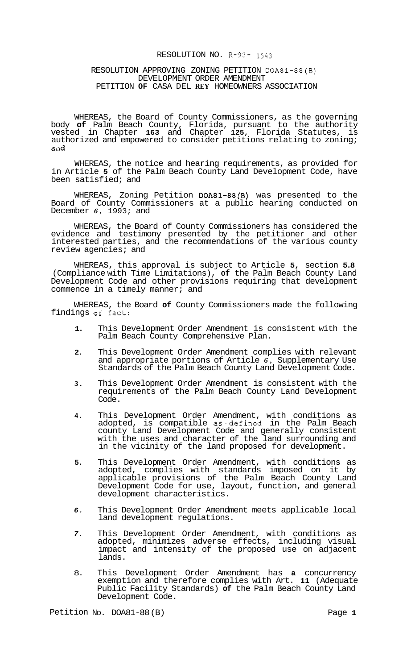### RESOLUTION NO. **R-93-** *1543*

## RESOLUTION APPROVING ZONING PETITION DOA81-88(B) DEVELOPMENT ORDER AMENDMENT PETITION **OF** CASA DEL **REY** HOMEOWNERS ASSOCIATION

WHEREAS, the Board of County Commissioners, as the governing body **of** Palm Beach County, Florida, pursuant to the authority vested in Chapter **163** and Chapter **125,** Florida Statutes, is authorized and empowered to consider petitions relating to zoning; **Gild** 

WHEREAS, the notice and hearing requirements, as provided for in Article **5** of the Palm Beach County Land Development Code, have been satisfied; and

WHEREAS, Zoning Petition DOA81-88(B) was presented to the Board of County Commissioners at a public hearing conducted on December *6,* 1993; and

WHEREAS, the Board of County Commissioners has considered the evidence and testimony presented by the petitioner and other interested parties, and the recommendations of the various county review agencies; and

WHEREAS, this approval is subject to Article **5,** section **5.8**  (Compliance with Time Limitations), **of** the Palm Beach County Land Development Code and other provisions requiring that development commence in a timely manner; and

WHEREAS, the Board **of** County Commissioners made the following<br>.ngs of fact: findings of fact:

- **1.**  This Development Order Amendment is consistent with the Palm Beach County Comprehensive Plan.
- **2.**  This Development Order Amendment complies with relevant and appropriate portions of Article *6,* Supplementary Use Standards of the Palm Beach County Land Development Code.
- **3.**  This Development Order Amendment is consistent with the requirements of the Palm Beach County Land Development Code.
- **4.**  This Development Order Amendment, with conditions as adopted, is compatible as'defined in the Palm Beach county Land Development Code and generally consistent with the uses and character of the land surrounding and in the vicinity of the land proposed for development.
- **5.**  This Development Order Amendment, with conditions as adopted, complies with standards imposed on it by applicable provisions of the Palm Beach County Land Development Code for use, layout, function, and general development characteristics.
- *6.*  This Development Order Amendment meets applicable local land development regulations.
- *7.*  This Development Order Amendment, with conditions as adopted, minimizes adverse effects, including visual impact and intensity of the proposed use on adjacent lands.
- 8. This Development Order Amendment has **a** concurrency exemption and therefore complies with Art. **11** (Adequate Public Facility Standards) **of** the Palm Beach County Land Development Code.

Petition No. DOA81-88 (B) Page 1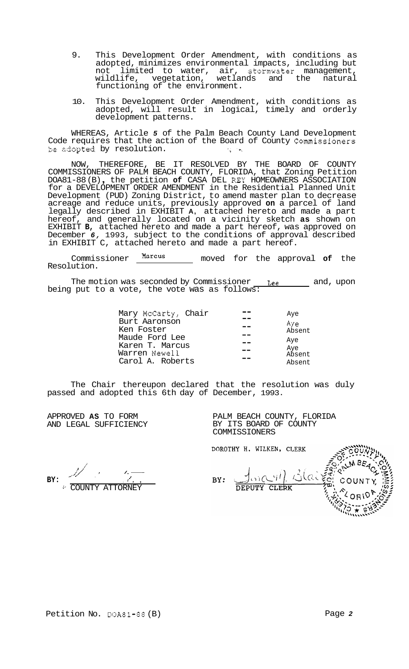- 9. This Development Order Amendment, with conditions as adopted, minimizes environmental impacts, including but<br>not limited to water, air, stormwater management, not limited to water, air, stormwater management,<br>wildlife, vegetation, wetlands and the natural wetlands and the natural functioning of the environment.
- 10. This Development Order Amendment, with conditions as adopted, will result in logical, timely and orderly development patterns.

WHEREAS, Article *5* of the Palm Beach County Land Development Code requires that the action of the Board of County Commissioners *<sup>52</sup>*ekpted by resolution. *'7.* '-i

NOW, THEREFORE, BE IT RESOLVED BY THE BOARD OF COUNTY COMMISSIONERS OF PALM BEACH COUNTY, FLORIDA, that Zoning Petition COMMISSIONERS OF PALM BEACH COUNTY, FLORIDA, that Zoning Petition<br>DOA81-88 (B), the petition **of** CASA DEL REY HOMEOWNERS ASSOCIATION for a DEVELOPMENT ORDER AMENDMENT in the Residential Planned Unit Development (PUD) Zoning District, to amend master plan to decrease acreage and reduce units, previously approved **on** a parcel of land legally described in EXHIBIT **A,** attached hereto and made a part hereof, and generally located on a vicinity sketch **as** shown on EXHIBIT **B,** attached hereto and made a part hereof, was approved on December *6,* 1993, subject to the conditions of approval described in EXHIBIT C, attached hereto and made a part hereof.

Commissioner **Marcus** moved for the approval **of** the Resolution.

The motion was seconded by Commissioner <u>Lee and</u>, upon being put to a vote, the vote was as follows:

| Mary McCarty, Chair<br>Burt Aaronson<br>Ken Foster                     | Aye<br>Aye<br>Absent           |
|------------------------------------------------------------------------|--------------------------------|
| Maude Ford Lee<br>Karen T. Marcus<br>Warren Newell<br>Carol A. Roberts | Aye<br>Aye<br>Absent<br>Absent |

The Chair thereupon declared that the resolution was duly passed and adopted this 6th day of December, 1993.

APPROVED **AS** TO FORM AND LEGAL SUFFICIENCY PALM BEACH COUNTY, FLORIDA BY ITS BOARD OF COUNTY COMMISSIONERS

DOROTHY H. WILKEN, CLERK

DEPUTY CLERK

./ .' /,-- **BY:** *<sup>I</sup>*  $\overline{\mathscr{C}}$ .,

Blaire  $1$  $\frac{1}{i}$ BY:

:-' COUNTY ATTORNEY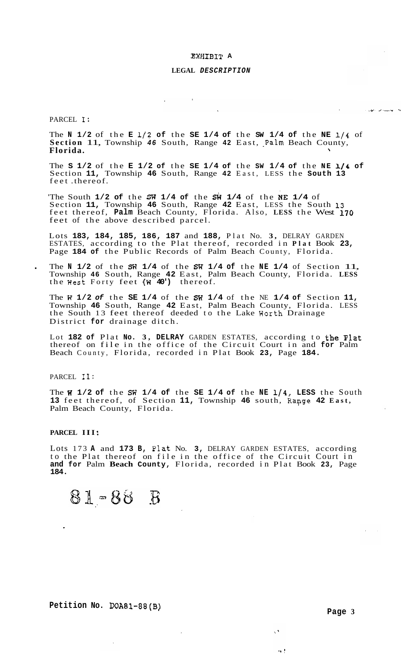### **EXHIEIT A**

### **LEGAL** *DESCRIPTION*

PARCEL **I:** 

The **N** 1/2 of the **E** 1/2 of the **SE** 1/4 of the SW 1/4 of the NE 1/4 of Section 11, Township 46 South, Range 42 East, Palm Beach County, Florida. **Florida.** 

 $\sim 10^6$ 

**Committee** 

The **S 1/2** of the **E 1/2 of** the **SE 1/4 of** the **SW 1/4 of** the **NE 1/4 of**  Section **11,** Township **46** South, Range **42** East, LESS the **South 13**  feet .thereof.

The South **1/2 of the SW 1/4 of the SW 1/4 of the NE 1/4 of** Section **11,** Township **46** South, Range **42** East, LESS the South **13**  feet thereof, **Palm** Beach County, Florida. Also, **LESS** the West **170**  feet of the above described parcel.

Lots **183, 184, 185, 186, 187** and **188,** Plat No. **3,** DELRAY GARDEN ESTATES, according to the Plat thereof, recorded in **Plat** Book **23,**  Page **184 of** the Public Records of Palm Beach County, Florida.

. The **N 1/2** of the **SW 1/4** of the **SF7 1/4 of** the **NE 1/4** of Section 11, Township **46** South, Range **42** East, Palm Beach County, Florida. **LESS**  the West Forty feet (W<sup>40'</sup>) thereof.

The **W 1/2** *of* the **SE 1/4** of the **SF7 1/4** of the NE **1/4 of** Section **11,**  Township **46** South, Range **42** East, Palm Beach County, Florida. LESS the South 13 feet thereof deeded to the Lake Worth Drainage District **for** drainage ditch.

Lot **182 of** Plat **No. 3, DELRAY** GARDEN ESTATES, according to the Plat thereof on file in the office of the Circuit Court in and **for** Palm Beach County, Florida, recorded in Plat Book **23,** Page **184.** 

PARCEL **11:** 

The **U 1/2 of** the **SR 1/4 of** the **SE 1/4 of** the **NE 1/4, LESS** the South **13** feet thereof, of Section **11,** Township **46** south, Rapge **42 East,**  Palm Beach County, Florida.

PARCEL III:

Lots 173 **A** and **173 B,** Plat No. **3,** DELRAY GARDEN ESTATES, according to the Plat thereof on file in the office of the Circuit Court in **and for** Palm **Beach County,** Florida, recorded in Plat Book **23,** Page **184.** 

 $\bar{z}$ 

 $\mathcal{L}$ 

$$
81 - 88 \quad B
$$

**Petition No. DOA81-88(B)** 

 $\lambda$ 

 $\cdots$ 

المعلم المستوفي المستوفية المستوفية المستوفية المستوفية المستوفية والمستوفية المستوفية المستوفية المستوفية المستوفية<br>والمستوفية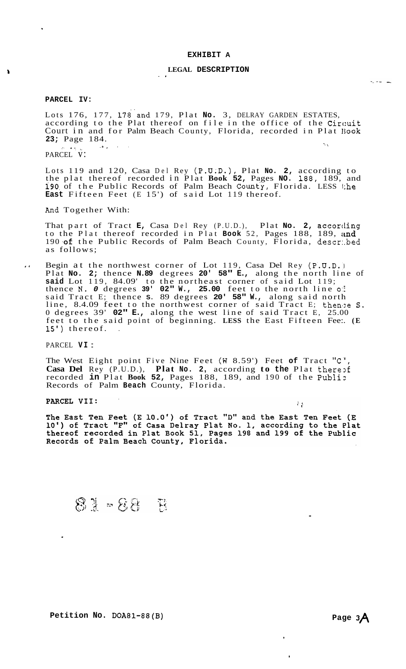### **EXHIBIT A**

## **LEGAL DESCRIPTION** -,

### **PARCEL IV:**

Lots 176, 177, 178'and 179, Plat **No.** 3, DELRAY GARDEN ESTATES, according to the Plat thereof on file in the office of the Circuit Court in and for Palm Beach County, Florida, recorded in Plat **Iiook 23;** Page 184. , .. ', \

PARCEL V:

Lots 119 and 120, Casa Del Rey (P.U;D.), Plat **No. 2,** according to the plat thereof recorded in Plat **Book 52,** Pages **NO.** 188, 189, and 190 of the Public Records of Palm Beach County, Florida. LESS the **East** Fifteen Feet (E 15') of said Lot 119 thereof.

And Together With:

That part of Tract **E,** Casa Del Rey (P.U.D.), Plat **No. 2,** according to the Plat thereof recorded in Plat **Book** 52, Pages 188, 189, and 190 of the Public Records of Palm Beach County, Florida, descr.bed as follows;

.. Begin at the northwest corner of Lot 119, Casa Del Rey (P.U.D.19). Plat **No. 2;** thence **N.89** degrees **20' 58" E.,** along the north line of **said** Lot 119, 84.09' to the northeast corner of said Lot 119; thence **N.** *0* degrees **39' 02" W., 25.00** feet to the north line o:f said Tract E; thence **S.** 89 degrees **20' 58" W.,** along said north line, 8.4.09 feet to the northwest corner of said Tract E; then'ze **S.**  0 degrees 39' **02" E.,** along the west line of said Tract E, 25.00 feet to the said point of beginning. **LESS** the East Fifteen Fee:. **(E**  15') thereof.

PARCEL **VI** :

The West Eight point Five Nine Feet (W 8.59') Feet of Tract "C", **Casa Del** Rey (P.U.D.), **Plat No. 2,** according **to the Plat therest** recorded **in** Plat **Book 52,** Pages 188, 189, and 190 of the Publi:: Records of Palm **Beach** County, Florida.

PARCEL VII:

 $\ddot{\phantom{a}}$ 

The East Ten Feet (E 10.0') of Tract "D" and the East Ten Feet (E 10') of Tract "F" of Casa Delray Plat No. 1, according to the Plat thereof recorded in Plat Book 51, Pages 198 and 199 of the Public Records of Palm Beach County, Florida.

81 - 88 B

Petition No. DOA81-88(B) Page 3A

 $\sim$   $-$ 

,

**I** 

 $\sim$   $\mu$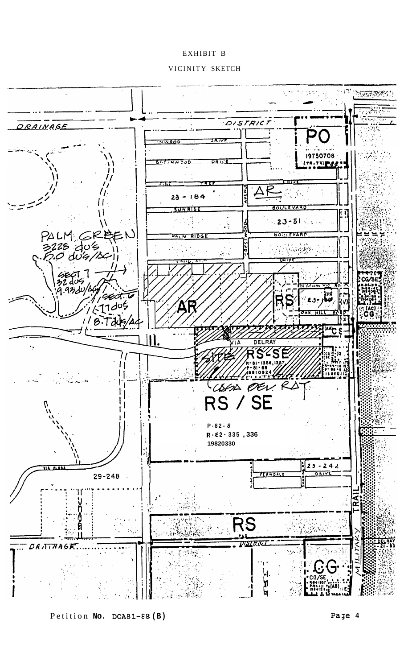# EXHIBIT B

VICINITY SKETCH



Petition **No. DOA81-88 (B) Page 4**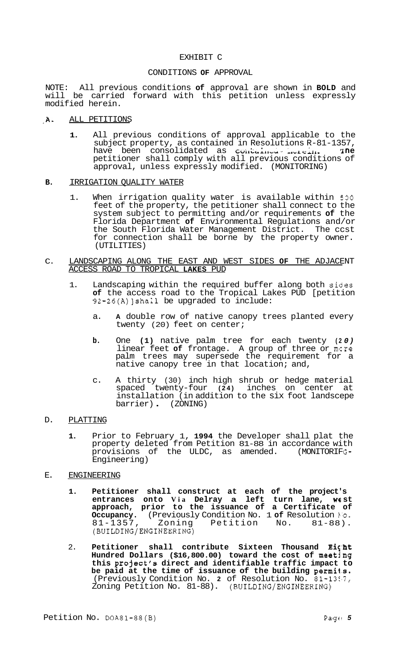## EXHIBIT C

## CONDITIONS **OF** APPROVAL

NOTE: All previous conditions **of** approval are shown in **BOLD** and will be carried forward with this petition unless expressly modified herein.

# .A. ALL PETITIONS

**1.** All previous conditions of approval applicable to the subject property, as contained in Resolutions R-81-1357,<br>have been consolidated as contained subsident into have been consolidated as contained increase. The petitioner shall comply with all previous conditions of approval, unless expressly modified. (MONITORING)

### **B.** IRRIGATION QUALITY WATER

- 1. When irrigation quality water is available within *SO0*  feet of the property, the petitioner shall connect to the system subject to permitting and/or requirements **of** the Florida Department **of** Environmental Regulations and/or the South Florida Water Management District. The ccst for connection shall be borne by the property owner. (UTILITIES)
- C. LANDSCAPING ALONG THE EAST AND WEST SIDES **OF** THE ADJACENT ACCESS ROAD TO TROPICAL **LAKES** PUD
	- 1. Landscaping within the required buffer along both sides **of** the access road to the Tropical Lakes PUD [petition 92-26(A)]shall be upgraded to include:
		- a. **A** double row of native canopy trees planted every twenty (20) feet on center;
		- **b.** One **(1)** native palm tree for each twenty **(2** *0)*  linear feet **of** frontage. A group of three or mcre palm trees may supersede the requirement for a native canopy tree in that location; and,
		- c. A thirty (30) inch high shrub or hedge material spaced twenty-four **(24)** inches on center at installation (in addition to the six foot landscepe barrier) . (ZONING)

# D. PLATTING

- **1.** Prior to February 1, **1994** the Developer shall plat the property deleted from Petition 81-88 in accordance with provisions of the ULDC, as amended. (MONITORIFG-Engineering)
- E. ENGINEERING
	- **1. Petitioner shall construct at each of the project's entrances onto Via Delray a left turn lane, we st approach, prior to the issuance of a Certificate of Occupancy.** (Previously Condition No. 1 **of** Resolution **Po.**  81-1357, Zoning Petition No. 81-88). (BUILDING/ENGINEERING)
	- 2. **Petitioner shall contribute Sixteen Thousand Eicht Hundred Dollars (\$16,800.00) toward the cost of meeting this project's direct and identifiable traffic impact to be paid at the time of issuance of the building permi1.s.**  (Previously Condition No. 2 of Resolution No. 81-1387, Zoning Petition No. 81-88). (BUILDING/ENGINEERING)